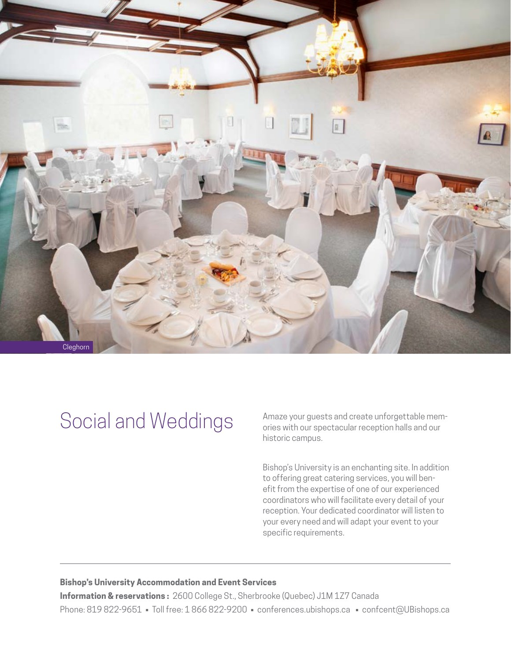

## Social and Weddings

Amaze your guests and create unforgettable memories with our spectacular reception halls and our historic campus.

Bishop's University is an enchanting site. In addition to offering great catering services, you will benefit from the expertise of one of our experienced coordinators who will facilitate every detail of your reception. Your dedicated coordinator will listen to your every need and will adapt your event to your specific requirements.

## **Bishop's University Accommodation and Event Services**

**Information & reservations :** 2600 College St., Sherbrooke (Quebec) J1M 1Z7 Canada Phone: 819 822-9651 • Toll free: 1 866 822-9200 • [conferences.ubishops.ca](http://conferences.ubishops.ca) • [confcent@UBishops.ca](mailto:confcent%40UBishops.ca%0D?subject=Information%20Request%3A%20Accommodation%20and%20Event%20Services)